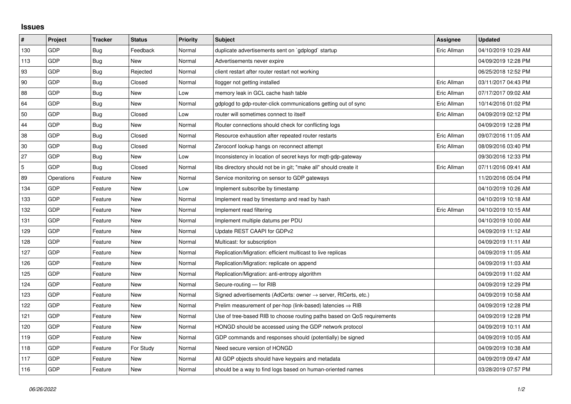## **Issues**

| $\pmb{\#}$     | Project    | <b>Tracker</b> | <b>Status</b> | <b>Priority</b> | <b>Subject</b>                                                             | <b>Assignee</b> | <b>Updated</b>      |
|----------------|------------|----------------|---------------|-----------------|----------------------------------------------------------------------------|-----------------|---------------------|
| 130            | GDP        | Bug            | Feedback      | Normal          | duplicate advertisements sent on `gdplogd` startup                         | Eric Allman     | 04/10/2019 10:29 AM |
| 113            | GDP        | Bug            | New           | Normal          | Advertisements never expire                                                |                 | 04/09/2019 12:28 PM |
| 93             | GDP        | Bug            | Rejected      | Normal          | client restart after router restart not working                            |                 | 06/25/2018 12:52 PM |
| 90             | GDP        | Bug            | Closed        | Normal          | llogger not getting installed                                              | Eric Allman     | 03/11/2017 04:43 PM |
| 88             | GDP        | Bug            | New           | Low             | memory leak in GCL cache hash table                                        | Eric Allman     | 07/17/2017 09:02 AM |
| 64             | GDP        | Bug            | <b>New</b>    | Normal          | gdplogd to gdp-router-click communications getting out of sync             | Eric Allman     | 10/14/2016 01:02 PM |
| 50             | GDP        | Bug            | Closed        | Low             | router will sometimes connect to itself                                    | Eric Allman     | 04/09/2019 02:12 PM |
| 44             | GDP        | Bug            | New           | Normal          | Router connections should check for conflicting logs                       |                 | 04/09/2019 12:28 PM |
| 38             | GDP        | <b>Bug</b>     | Closed        | Normal          | Resource exhaustion after repeated router restarts                         | Eric Allman     | 09/07/2016 11:05 AM |
| 30             | GDP        | Bug            | Closed        | Normal          | Zeroconf lookup hangs on reconnect attempt                                 | Eric Allman     | 08/09/2016 03:40 PM |
| 27             | GDP        | Bug            | New           | Low             | Inconsistency in location of secret keys for mgtt-gdp-gateway              |                 | 09/30/2016 12:33 PM |
| $\overline{5}$ | GDP        | <b>Bug</b>     | Closed        | Normal          | libs directory should not be in git; "make all" should create it           | Eric Allman     | 07/11/2016 09:41 AM |
| 89             | Operations | Feature        | New           | Normal          | Service monitoring on sensor to GDP gateways                               |                 | 11/20/2016 05:04 PM |
| 134            | GDP        | Feature        | <b>New</b>    | Low             | Implement subscribe by timestamp                                           |                 | 04/10/2019 10:26 AM |
| 133            | GDP        | Feature        | New           | Normal          | Implement read by timestamp and read by hash                               |                 | 04/10/2019 10:18 AM |
| 132            | GDP        | Feature        | New           | Normal          | Implement read filtering                                                   | Eric Allman     | 04/10/2019 10:15 AM |
| 131            | GDP        | Feature        | <b>New</b>    | Normal          | Implement multiple datums per PDU                                          |                 | 04/10/2019 10:00 AM |
| 129            | GDP        | Feature        | New           | Normal          | Update REST CAAPI for GDPv2                                                |                 | 04/09/2019 11:12 AM |
| 128            | GDP        | Feature        | New           | Normal          | Multicast: for subscription                                                |                 | 04/09/2019 11:11 AM |
| 127            | GDP        | Feature        | New           | Normal          | Replication/Migration: efficient multicast to live replicas                |                 | 04/09/2019 11:05 AM |
| 126            | GDP        | Feature        | New           | Normal          | Replication/Migration: replicate on append                                 |                 | 04/09/2019 11:03 AM |
| 125            | GDP        | Feature        | New           | Normal          | Replication/Migration: anti-entropy algorithm                              |                 | 04/09/2019 11:02 AM |
| 124            | GDP        | Feature        | New           | Normal          | Secure-routing - for RIB                                                   |                 | 04/09/2019 12:29 PM |
| 123            | GDP        | Feature        | New           | Normal          | Signed advertisements (AdCerts: owner $\rightarrow$ server, RtCerts, etc.) |                 | 04/09/2019 10:58 AM |
| 122            | GDP        | Feature        | <b>New</b>    | Normal          | Prelim measurement of per-hop (link-based) latencies $\Rightarrow$ RIB     |                 | 04/09/2019 12:28 PM |
| 121            | GDP        | Feature        | New           | Normal          | Use of tree-based RIB to choose routing paths based on QoS requirements    |                 | 04/09/2019 12:28 PM |
| 120            | GDP        | Feature        | New           | Normal          | HONGD should be accessed using the GDP network protocol                    |                 | 04/09/2019 10:11 AM |
| 119            | GDP        | Feature        | New           | Normal          | GDP commands and responses should (potentially) be signed                  |                 | 04/09/2019 10:05 AM |
| 118            | GDP        | Feature        | For Study     | Normal          | Need secure version of HONGD                                               |                 | 04/09/2019 10:38 AM |
| 117            | GDP        | Feature        | New           | Normal          | All GDP objects should have keypairs and metadata                          |                 | 04/09/2019 09:47 AM |
| 116            | GDP        | Feature        | New           | Normal          | should be a way to find logs based on human-oriented names                 |                 | 03/28/2019 07:57 PM |